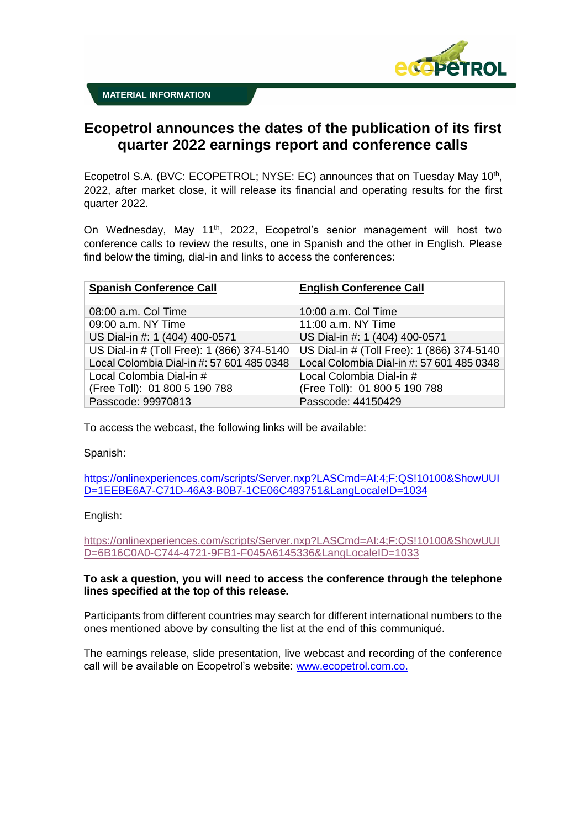

# **Ecopetrol announces the dates of the publication of its first quarter 2022 earnings report and conference calls**

Ecopetrol S.A. (BVC: ECOPETROL; NYSE: EC) announces that on Tuesday May 10<sup>th</sup>, 2022, after market close, it will release its financial and operating results for the first quarter 2022.

On Wednesday, May 11<sup>th</sup>, 2022, Ecopetrol's senior management will host two conference calls to review the results, one in Spanish and the other in English. Please find below the timing, dial-in and links to access the conferences:

| <b>Spanish Conference Call</b>             | <b>English Conference Call</b>             |
|--------------------------------------------|--------------------------------------------|
|                                            |                                            |
| 08:00 a.m. Col Time                        | 10:00 a.m. Col Time                        |
| 09:00 a.m. NY Time                         | 11:00 a.m. NY Time                         |
| US Dial-in #: 1 (404) 400-0571             | US Dial-in #: 1 (404) 400-0571             |
| US Dial-in # (Toll Free): 1 (866) 374-5140 | US Dial-in # (Toll Free): 1 (866) 374-5140 |
| Local Colombia Dial-in #: 57 601 485 0348  | Local Colombia Dial-in #: 57 601 485 0348  |
| Local Colombia Dial-in #                   | Local Colombia Dial-in #                   |
| (Free Toll): 01 800 5 190 788              | (Free Toll): 01 800 5 190 788              |
| Passcode: 99970813                         | Passcode: 44150429                         |

To access the webcast, the following links will be available:

Spanish:

[https://onlinexperiences.com/scripts/Server.nxp?LASCmd=AI:4;F:QS!10100&ShowUUI](https://onlinexperiences.com/scripts/Server.nxp?LASCmd=AI:4;F:QS!10100&ShowUUID=1EEBE6A7-C71D-46A3-B0B7-1CE06C483751&LangLocaleID=1034) [D=1EEBE6A7-C71D-46A3-B0B7-1CE06C483751&LangLocaleID=1034](https://onlinexperiences.com/scripts/Server.nxp?LASCmd=AI:4;F:QS!10100&ShowUUID=1EEBE6A7-C71D-46A3-B0B7-1CE06C483751&LangLocaleID=1034)

## English:

[https://onlinexperiences.com/scripts/Server.nxp?LASCmd=AI:4;F:QS!10100&ShowUUI](https://onlinexperiences.com/scripts/Server.nxp?LASCmd=AI:4;F:QS!10100&ShowUUID=6B16C0A0-C744-4721-9FB1-F045A6145336&LangLocaleID=1033) [D=6B16C0A0-C744-4721-9FB1-F045A6145336&LangLocaleID=1033](https://onlinexperiences.com/scripts/Server.nxp?LASCmd=AI:4;F:QS!10100&ShowUUID=6B16C0A0-C744-4721-9FB1-F045A6145336&LangLocaleID=1033)

## **To ask a question, you will need to access the conference through the telephone lines specified at the top of this release.**

Participants from different countries may search for different international numbers to the ones mentioned above by consulting the list at the end of this communiqué.

The earnings release, slide presentation, live webcast and recording of the conference call will be available on Ecopetrol's website: [www.ecopetrol.com.co.](http://www.ecopetrol.com.co/)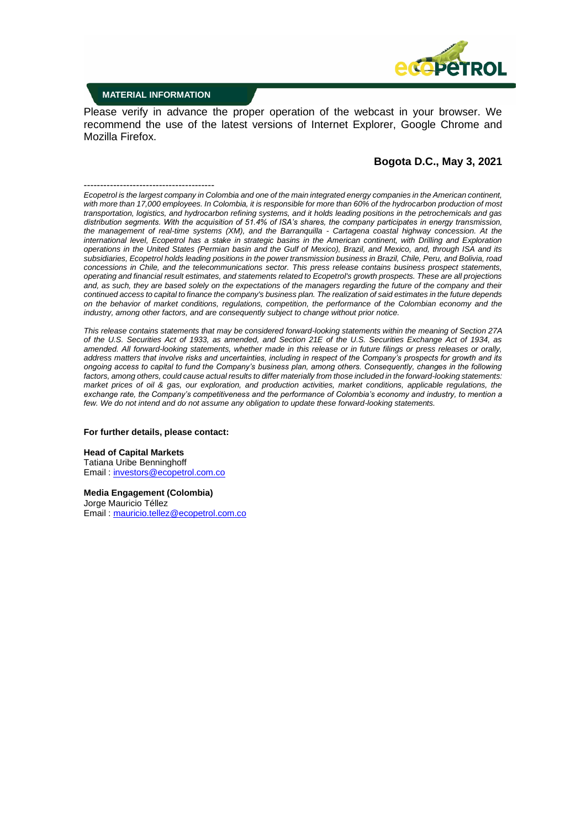

### **MATERIAL INFORMATION**

Please verify in advance the proper operation of the webcast in your browser. We recommend the use of the latest versions of Internet Explorer, Google Chrome and Mozilla Firefox.

### **Bogota D.C., May 3, 2021**

---------------------------------------- *Ecopetrol is the largest company in Colombia and one of the main integrated energy companies in the American continent, with more than 17,000 employees. In Colombia, it is responsible for more than 60% of the hydrocarbon production of most transportation, logistics, and hydrocarbon refining systems, and it holds leading positions in the petrochemicals and gas distribution segments. With the acquisition of 51.4% of ISA's shares, the company participates in energy transmission, the management of real-time systems (XM), and the Barranquilla - Cartagena coastal highway concession. At the international level, Ecopetrol has a stake in strategic basins in the American continent, with Drilling and Exploration operations in the United States (Permian basin and the Gulf of Mexico), Brazil, and Mexico, and, through ISA and its subsidiaries, Ecopetrol holds leading positions in the power transmission business in Brazil, Chile, Peru, and Bolivia, road concessions in Chile, and the telecommunications sector. This press release contains business prospect statements, operating and financial result estimates, and statements related to Ecopetrol's growth prospects. These are all projections*  and, as such, they are based solely on the expectations of the managers regarding the future of the company and their *continued access to capital to finance the company's business plan. The realization of said estimates in the future depends on the behavior of market conditions, regulations, competition, the performance of the Colombian economy and the industry, among other factors, and are consequently subject to change without prior notice.*

*This release contains statements that may be considered forward-looking statements within the meaning of Section 27A of the U.S. Securities Act of 1933, as amended, and Section 21E of the U.S. Securities Exchange Act of 1934, as amended. All forward-looking statements, whether made in this release or in future filings or press releases or orally, address matters that involve risks and uncertainties, including in respect of the Company's prospects for growth and its ongoing access to capital to fund the Company's business plan, among others. Consequently, changes in the following factors, among others, could cause actual results to differ materially from those included in the forward-looking statements: market prices of oil & gas, our exploration, and production activities, market conditions, applicable regulations, the exchange rate, the Company's competitiveness and the performance of Colombia's economy and industry, to mention a few. We do not intend and do not assume any obligation to update these forward-looking statements.*

#### **For further details, please contact:**

#### **Head of Capital Markets**

Tatiana Uribe Benninghoff Email : [investors@ecopetrol.com.co](mailto:investors@ecopetrol.com.co)

**Media Engagement (Colombia)** Jorge Mauricio Téllez Email : [mauricio.tellez@ecopetrol.com.co](mailto:mauricio.tellez@ecopetrol.com.co)